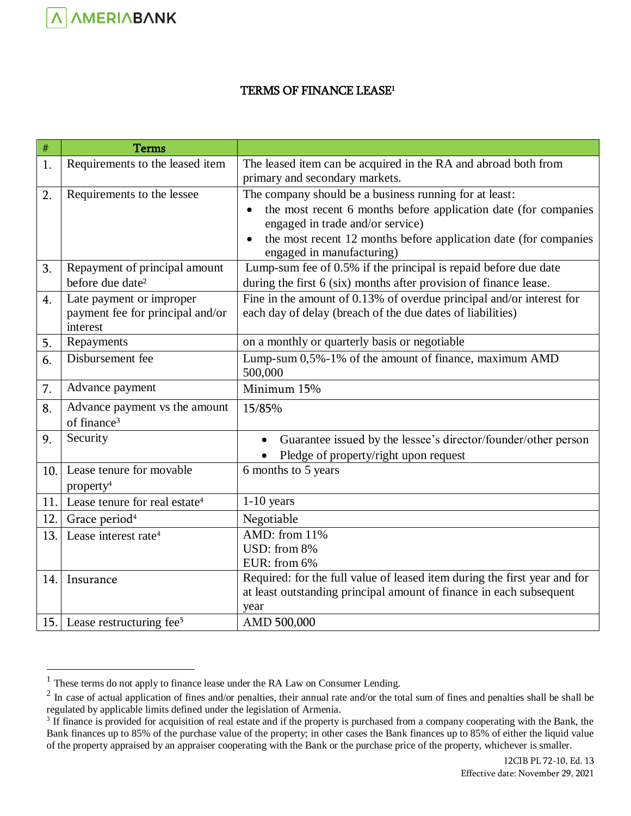## TERMS OF FINANCE LEASE<sup>1</sup>

| $\#$ | <b>Terms</b>                                 |                                                                               |
|------|----------------------------------------------|-------------------------------------------------------------------------------|
| 1.   | Requirements to the leased item              | The leased item can be acquired in the RA and abroad both from                |
|      |                                              | primary and secondary markets.                                                |
| 2.   | Requirements to the lessee                   | The company should be a business running for at least:                        |
|      |                                              | the most recent 6 months before application date (for companies               |
|      |                                              | engaged in trade and/or service)                                              |
|      |                                              | the most recent 12 months before application date (for companies<br>$\bullet$ |
|      |                                              | engaged in manufacturing)                                                     |
| 3.   | Repayment of principal amount                | Lump-sum fee of 0.5% if the principal is repaid before due date               |
|      | before due date <sup>2</sup>                 | during the first 6 (six) months after provision of finance lease.             |
| 4.   | Late payment or improper                     | Fine in the amount of 0.13% of overdue principal and/or interest for          |
|      | payment fee for principal and/or<br>interest | each day of delay (breach of the due dates of liabilities)                    |
| 5.   | Repayments                                   | on a monthly or quarterly basis or negotiable                                 |
| 6.   | Disbursement fee                             | Lump-sum 0,5%-1% of the amount of finance, maximum AMD                        |
|      |                                              | 500,000                                                                       |
| 7.   | Advance payment                              | Minimum 15%                                                                   |
| 8.   | Advance payment vs the amount                | 15/85%                                                                        |
|      | of finance <sup>3</sup>                      |                                                                               |
| 9.   | Security                                     | Guarantee issued by the lessee's director/founder/other person                |
|      |                                              | Pledge of property/right upon request                                         |
| 10.  | Lease tenure for movable                     | 6 months to 5 years                                                           |
|      | property <sup>4</sup>                        |                                                                               |
| 11.  | Lease tenure for real estate <sup>4</sup>    | $1-10$ years                                                                  |
| 12.  | Grace period <sup>4</sup>                    | Negotiable                                                                    |
| 13.  | Lease interest rate <sup>4</sup>             | $\overline{\mathrm{AMD}}$ : from 11%                                          |
|      |                                              | USD: from 8%                                                                  |
|      |                                              | EUR: from 6%                                                                  |
| 14.  | Insurance                                    | Required: for the full value of leased item during the first year and for     |
|      |                                              | at least outstanding principal amount of finance in each subsequent           |
|      |                                              | year                                                                          |
|      | 15. Lease restructuring fee <sup>5</sup>     | AMD 500,000                                                                   |

<span id="page-0-0"></span> $\overline{a}$ 

 $<sup>1</sup>$  These terms do not apply to finance lease under the RA Law on Consumer Lending.</sup>

 $2 \text{ In case of actual application of fines and/or penalties, their annual rate and/or the total sum of fines and penalties shall be shall be.}$ regulated by applicable limits defined under the legislation of Armenia.

<sup>&</sup>lt;sup>3</sup> If finance is provided for acquisition of real estate and if the property is purchased from a company cooperating with the Bank, the Bank finances up to 85% of the purchase value of the property; in other cases the Bank finances up to 85% of either the liquid value of the property appraised by an appraiser cooperating with the Bank or the purchase price of the property, whichever is smaller.